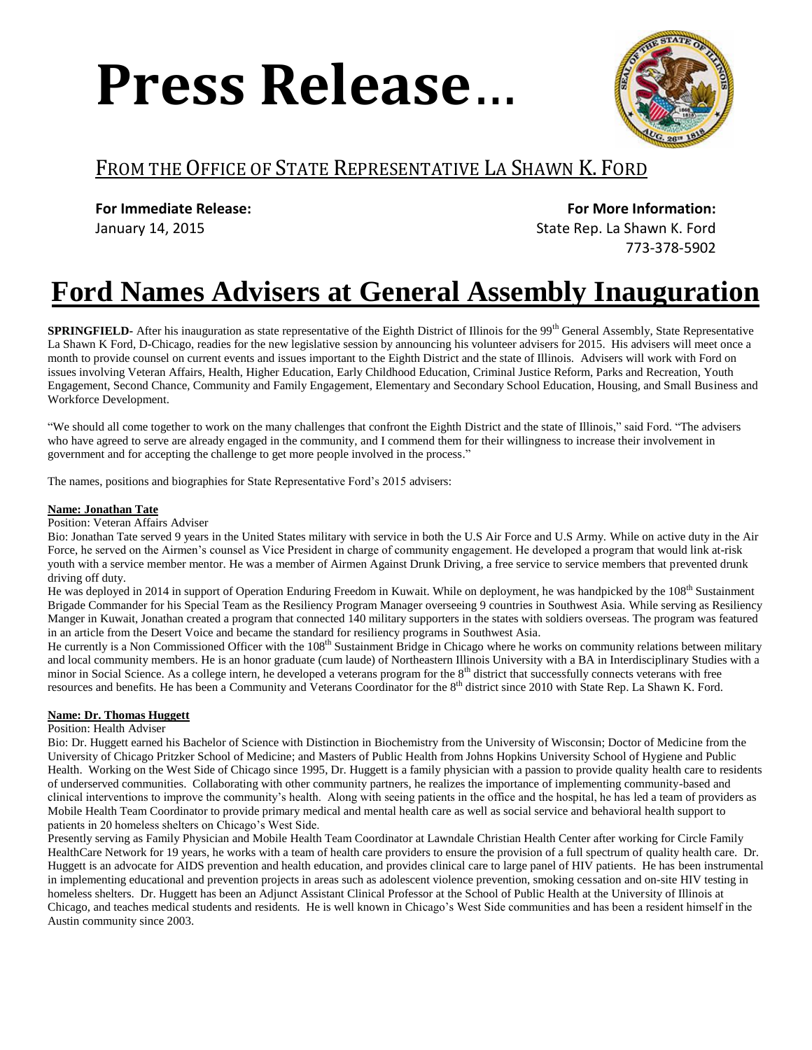# **Press Release**…



### FROM THE OFFICE OF STATE REPRESENTATIVE LA SHAWN K. FORD

**For Immediate Release:**

January 14, 2015

 **For More Information:** State Rep. La Shawn K. Ford

773-378-5902

## **Ford Names Advisers at General Assembly Inauguration**

**SPRINGFIELD-** After his inauguration as state representative of the Eighth District of Illinois for the 99<sup>th</sup> General Assembly, State Representative La Shawn K Ford, D-Chicago, readies for the new legislative session by announcing his volunteer advisers for 2015. His advisers will meet once a month to provide counsel on current events and issues important to the Eighth District and the state of Illinois. Advisers will work with Ford on issues involving Veteran Affairs, Health, Higher Education, Early Childhood Education, Criminal Justice Reform, Parks and Recreation, Youth Engagement, Second Chance, Community and Family Engagement, Elementary and Secondary School Education, Housing, and Small Business and Workforce Development.

"We should all come together to work on the many challenges that confront the Eighth District and the state of Illinois," said Ford. "The advisers who have agreed to serve are already engaged in the community, and I commend them for their willingness to increase their involvement in government and for accepting the challenge to get more people involved in the process."

The names, positions and biographies for State Representative Ford's 2015 advisers:

#### **Name: Jonathan Tate**

Position: Veteran Affairs Adviser

Bio: Jonathan Tate served 9 years in the United States military with service in both the U.S Air Force and U.S Army. While on active duty in the Air Force, he served on the Airmen's counsel as Vice President in charge of community engagement. He developed a program that would link at-risk youth with a service member mentor. He was a member of Airmen Against Drunk Driving, a free service to service members that prevented drunk driving off duty.

He was deployed in 2014 in support of Operation Enduring Freedom in Kuwait. While on deployment, he was handpicked by the  $108<sup>th</sup>$  Sustainment Brigade Commander for his Special Team as the Resiliency Program Manager overseeing 9 countries in Southwest Asia. While serving as Resiliency Manger in Kuwait, Jonathan created a program that connected 140 military supporters in the states with soldiers overseas. The program was featured in an article from the Desert Voice and became the standard for resiliency programs in Southwest Asia.

He currently is a Non Commissioned Officer with the 108<sup>th</sup> Sustainment Bridge in Chicago where he works on community relations between military and local community members. He is an honor graduate (cum laude) of Northeastern Illinois University with a BA in Interdisciplinary Studies with a minor in Social Science. As a college intern, he developed a veterans program for the 8<sup>th</sup> district that successfully connects veterans with free resources and benefits. He has been a Community and Veterans Coordinator for the 8<sup>th</sup> district since 2010 with State Rep. La Shawn K. Ford.

#### **Name: Dr. Thomas Huggett**

Position: Health Adviser

Bio: Dr. Huggett earned his Bachelor of Science with Distinction in Biochemistry from the University of Wisconsin; Doctor of Medicine from the University of Chicago Pritzker School of Medicine; and Masters of Public Health from Johns Hopkins University School of Hygiene and Public Health. Working on the West Side of Chicago since 1995, Dr. Huggett is a family physician with a passion to provide quality health care to residents of underserved communities. Collaborating with other community partners, he realizes the importance of implementing community-based and clinical interventions to improve the community's health. Along with seeing patients in the office and the hospital, he has led a team of providers as Mobile Health Team Coordinator to provide primary medical and mental health care as well as social service and behavioral health support to patients in 20 homeless shelters on Chicago's West Side.

Presently serving as Family Physician and Mobile Health Team Coordinator at Lawndale Christian Health Center after working for Circle Family HealthCare Network for 19 years, he works with a team of health care providers to ensure the provision of a full spectrum of quality health care. Dr. Huggett is an advocate for AIDS prevention and health education, and provides clinical care to large panel of HIV patients. He has been instrumental in implementing educational and prevention projects in areas such as adolescent violence prevention, smoking cessation and on-site HIV testing in homeless shelters. Dr. Huggett has been an Adjunct Assistant Clinical Professor at the School of Public Health at the University of Illinois at Chicago, and teaches medical students and residents. He is well known in Chicago's West Side communities and has been a resident himself in the Austin community since 2003.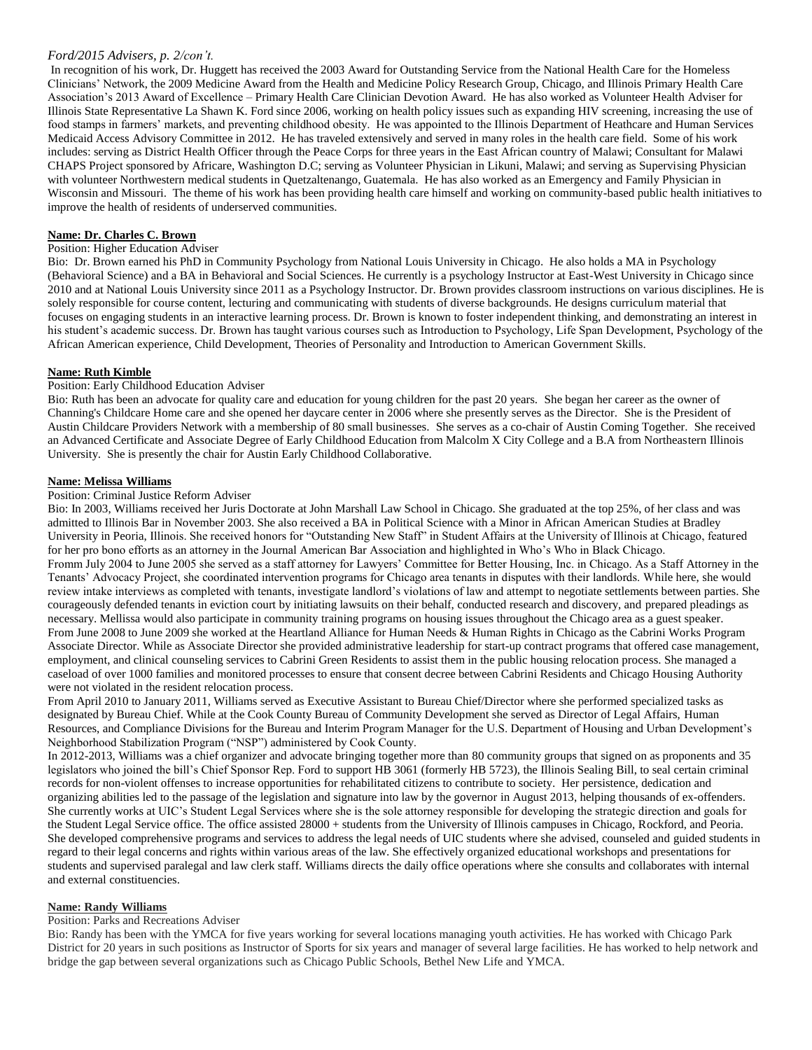#### *Ford/2015 Advisers, p. 2/con't.*

In recognition of his work, Dr. Huggett has received the 2003 Award for Outstanding Service from the National Health Care for the Homeless Clinicians' Network, the 2009 Medicine Award from the Health and Medicine Policy Research Group, Chicago, and Illinois Primary Health Care Association's 2013 Award of Excellence – Primary Health Care Clinician Devotion Award. He has also worked as Volunteer Health Adviser for Illinois State Representative La Shawn K. Ford since 2006, working on health policy issues such as expanding HIV screening, increasing the use of food stamps in farmers' markets, and preventing childhood obesity. He was appointed to the Illinois Department of Heathcare and Human Services Medicaid Access Advisory Committee in 2012. He has traveled extensively and served in many roles in the health care field. Some of his work includes: serving as District Health Officer through the Peace Corps for three years in the East African country of Malawi; Consultant for Malawi CHAPS Project sponsored by Africare, Washington D.C; serving as Volunteer Physician in Likuni, Malawi; and serving as Supervising Physician with volunteer Northwestern medical students in Quetzaltenango, Guatemala. He has also worked as an Emergency and Family Physician in Wisconsin and Missouri. The theme of his work has been providing health care himself and working on community-based public health initiatives to improve the health of residents of underserved communities.

#### **Name: Dr. Charles C. Brown**

#### Position: Higher Education Adviser

Bio: Dr. Brown earned his PhD in Community Psychology from National Louis University in Chicago. He also holds a MA in Psychology (Behavioral Science) and a BA in Behavioral and Social Sciences. He currently is a psychology Instructor at East-West University in Chicago since 2010 and at National Louis University since 2011 as a Psychology Instructor. Dr. Brown provides classroom instructions on various disciplines. He is solely responsible for course content, lecturing and communicating with students of diverse backgrounds. He designs curriculum material that focuses on engaging students in an interactive learning process. Dr. Brown is known to foster independent thinking, and demonstrating an interest in his student's academic success. Dr. Brown has taught various courses such as Introduction to Psychology, Life Span Development, Psychology of the African American experience, Child Development, Theories of Personality and Introduction to American Government Skills.

#### **Name: Ruth Kimble**

#### Position: Early Childhood Education Adviser

Bio: Ruth has been an advocate for quality care and education for young children for the past 20 years. She began her career as the owner of Channing's Childcare Home care and she opened her daycare center in 2006 where she presently serves as the Director. She is the President of Austin Childcare Providers Network with a membership of 80 small businesses. She serves as a co-chair of Austin Coming Together. She received an Advanced Certificate and Associate Degree of Early Childhood Education from Malcolm X City College and a B.A from Northeastern Illinois University. She is presently the chair for Austin Early Childhood Collaborative.

#### **Name: Melissa Williams**

#### Position: Criminal Justice Reform Adviser

Bio: In 2003, Williams received her Juris Doctorate at John Marshall Law School in Chicago. She graduated at the top 25%, of her class and was admitted to Illinois Bar in November 2003. She also received a BA in Political Science with a Minor in African American Studies at Bradley University in Peoria, Illinois. She received honors for "Outstanding New Staff" in Student Affairs at the University of Illinois at Chicago, featured for her pro bono efforts as an attorney in the Journal American Bar Association and highlighted in Who's Who in Black Chicago. Fromm July 2004 to June 2005 she served as a staff attorney for Lawyers' Committee for Better Housing, Inc. in Chicago. As a Staff Attorney in the Tenants' Advocacy Project, she coordinated intervention programs for Chicago area tenants in disputes with their landlords. While here, she would review intake interviews as completed with tenants, investigate landlord's violations of law and attempt to negotiate settlements between parties. She courageously defended tenants in eviction court by initiating lawsuits on their behalf, conducted research and discovery, and prepared pleadings as necessary. Mellissa would also participate in community training programs on housing issues throughout the Chicago area as a guest speaker. From June 2008 to June 2009 she worked at the Heartland Alliance for Human Needs & Human Rights in Chicago as the Cabrini Works Program Associate Director. While as Associate Director she provided administrative leadership for start-up contract programs that offered case management, employment, and clinical counseling services to Cabrini Green Residents to assist them in the public housing relocation process. She managed a caseload of over 1000 families and monitored processes to ensure that consent decree between Cabrini Residents and Chicago Housing Authority were not violated in the resident relocation process.

From April 2010 to January 2011, Williams served as Executive Assistant to Bureau Chief/Director where she performed specialized tasks as designated by Bureau Chief. While at the Cook County Bureau of Community Development she served as Director of Legal Affairs, Human Resources, and Compliance Divisions for the Bureau and Interim Program Manager for the U.S. Department of Housing and Urban Development's Neighborhood Stabilization Program ("NSP") administered by Cook County.

In 2012-2013, Williams was a chief organizer and advocate bringing together more than 80 community groups that signed on as proponents and 35 legislators who joined the bill's Chief Sponsor Rep. Ford to support HB 3061 (formerly HB 5723), the Illinois Sealing Bill, to seal certain criminal records for non-violent offenses to increase opportunities for rehabilitated citizens to contribute to society. Her persistence, dedication and organizing abilities led to the passage of the legislation and signature into law by the governor in August 2013, helping thousands of ex-offenders. She currently works at UIC's Student Legal Services where she is the sole attorney responsible for developing the strategic direction and goals for the Student Legal Service office. The office assisted 28000 + students from the University of Illinois campuses in Chicago, Rockford, and Peoria. She developed comprehensive programs and services to address the legal needs of UIC students where she advised, counseled and guided students in regard to their legal concerns and rights within various areas of the law. She effectively organized educational workshops and presentations for students and supervised paralegal and law clerk staff. Williams directs the daily office operations where she consults and collaborates with internal and external constituencies.

#### **Name: Randy Williams**

#### Position: Parks and Recreations Adviser

Bio: Randy has been with the YMCA for five years working for several locations managing youth activities. He has worked with Chicago Park District for 20 years in such positions as Instructor of Sports for six years and manager of several large facilities. He has worked to help network and bridge the gap between several organizations such as Chicago Public Schools, Bethel New Life and YMCA.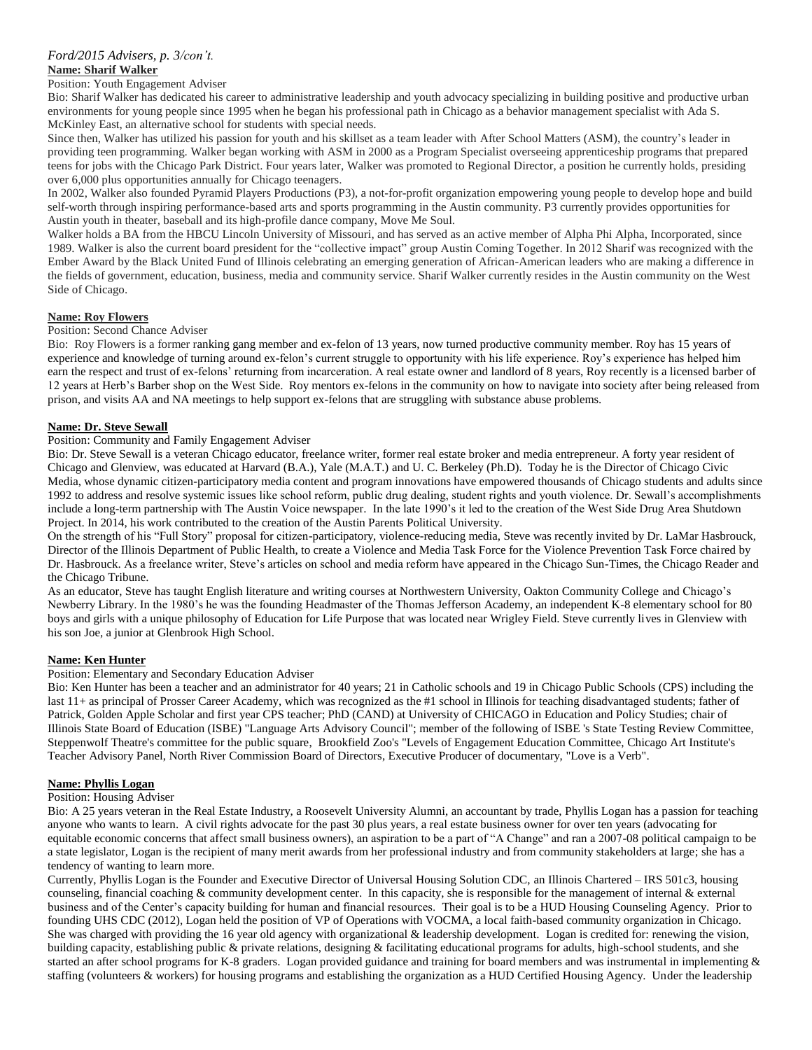#### **Name: Sharif Walker**

#### Position: Youth Engagement Adviser

Bio: Sharif Walker has dedicated his career to administrative leadership and youth advocacy specializing in building positive and productive urban environments for young people since 1995 when he began his professional path in Chicago as a behavior management specialist with Ada S. McKinley East, an alternative school for students with special needs.

Since then, Walker has utilized his passion for youth and his skillset as a team leader with After School Matters (ASM), the country's leader in providing teen programming. Walker began working with ASM in 2000 as a Program Specialist overseeing apprenticeship programs that prepared teens for jobs with the Chicago Park District. Four years later, Walker was promoted to Regional Director, a position he currently holds, presiding over 6,000 plus opportunities annually for Chicago teenagers.

In 2002, Walker also founded Pyramid Players Productions (P3), a not-for-profit organization empowering young people to develop hope and build self-worth through inspiring performance-based arts and sports programming in the Austin community. P3 currently provides opportunities for Austin youth in theater, baseball and its high-profile dance company, Move Me Soul.

Walker holds a BA from the HBCU Lincoln University of Missouri, and has served as an active member of Alpha Phi Alpha, Incorporated, since 1989. Walker is also the current board president for the "collective impact" group Austin Coming Together. In 2012 Sharif was recognized with the Ember Award by the Black United Fund of Illinois celebrating an emerging generation of African-American leaders who are making a difference in the fields of government, education, business, media and community service. Sharif Walker currently resides in the Austin community on the West Side of Chicago.

#### **Name: Roy Flowers**

#### Position: Second Chance Adviser

Bio: Roy Flowers is a former ranking gang member and ex-felon of 13 years, now turned productive community member. Roy has 15 years of experience and knowledge of turning around ex-felon's current struggle to opportunity with his life experience. Roy's experience has helped him earn the respect and trust of ex-felons' returning from incarceration. A real estate owner and landlord of 8 years, Roy recently is a licensed barber of 12 years at Herb's Barber shop on the West Side. Roy mentors ex-felons in the community on how to navigate into society after being released from prison, and visits AA and NA meetings to help support ex-felons that are struggling with substance abuse problems.

#### **Name: Dr. Steve Sewall**

#### Position: Community and Family Engagement Adviser

Bio: Dr. Steve Sewall is a veteran Chicago educator, freelance writer, former real estate broker and media entrepreneur. A forty year resident of Chicago and Glenview, was educated at Harvard (B.A.), Yale (M.A.T.) and U. C. Berkeley (Ph.D). Today he is the Director of Chicago Civic Media, whose dynamic citizen-participatory media content and program innovations have empowered thousands of Chicago students and adults since 1992 to address and resolve systemic issues like school reform, public drug dealing, student rights and youth violence. Dr. Sewall's accomplishments include a long-term partnership with The Austin Voice newspaper. In the late 1990's it led to the creation of the West Side Drug Area Shutdown Project. In 2014, his work contributed to the creation of the Austin Parents Political University.

On the strength of his "Full Story" proposal for citizen-participatory, violence-reducing media, Steve was recently invited by Dr. LaMar Hasbrouck, Director of the Illinois Department of Public Health, to create a Violence and Media Task Force for the Violence Prevention Task Force chaired by Dr. Hasbrouck. As a freelance writer, Steve's articles on school and media reform have appeared in the Chicago Sun-Times, the Chicago Reader and the Chicago Tribune.

As an educator, Steve has taught English literature and writing courses at Northwestern University, Oakton Community College and Chicago's Newberry Library. In the 1980's he was the founding Headmaster of the Thomas Jefferson Academy, an independent K-8 elementary school for 80 boys and girls with a unique philosophy of Education for Life Purpose that was located near Wrigley Field. Steve currently lives in Glenview with his son Joe, a junior at Glenbrook High School.

#### **Name: Ken Hunter**

#### Position: Elementary and Secondary Education Adviser

Bio: Ken Hunter has been a teacher and an administrator for 40 years; 21 in Catholic schools and 19 in Chicago Public Schools (CPS) including the last 11+ as principal of Prosser Career Academy, which was recognized as the #1 school in Illinois for teaching disadvantaged students; father of Patrick, Golden Apple Scholar and first year CPS teacher; PhD (CAND) at University of CHICAGO in Education and Policy Studies; chair of Illinois State Board of Education (ISBE) "Language Arts Advisory Council"; member of the following of ISBE 's State Testing Review Committee, Steppenwolf Theatre's committee for the public square, Brookfield Zoo's "Levels of Engagement Education Committee, Chicago Art Institute's Teacher Advisory Panel, North River Commission Board of Directors, Executive Producer of documentary, "Love is a Verb".

#### **Name: Phyllis Logan**

#### Position: Housing Adviser

Bio: A 25 years veteran in the Real Estate Industry, a Roosevelt University Alumni, an accountant by trade, Phyllis Logan has a passion for teaching anyone who wants to learn. A civil rights advocate for the past 30 plus years, a real estate business owner for over ten years (advocating for equitable economic concerns that affect small business owners), an aspiration to be a part of "A Change" and ran a 2007-08 political campaign to be a state legislator, Logan is the recipient of many merit awards from her professional industry and from community stakeholders at large; she has a tendency of wanting to learn more.

Currently, Phyllis Logan is the Founder and Executive Director of Universal Housing Solution CDC, an Illinois Chartered – IRS 501c3, housing counseling, financial coaching  $&$  community development center. In this capacity, she is responsible for the management of internal  $&$  external business and of the Center's capacity building for human and financial resources. Their goal is to be a HUD Housing Counseling Agency. Prior to founding UHS CDC (2012), Logan held the position of VP of Operations with VOCMA, a local faith-based community organization in Chicago. She was charged with providing the 16 year old agency with organizational & leadership development. Logan is credited for: renewing the vision, building capacity, establishing public & private relations, designing & facilitating educational programs for adults, high-school students, and she started an after school programs for K-8 graders. Logan provided guidance and training for board members and was instrumental in implementing  $\&$ staffing (volunteers & workers) for housing programs and establishing the organization as a HUD Certified Housing Agency. Under the leadership